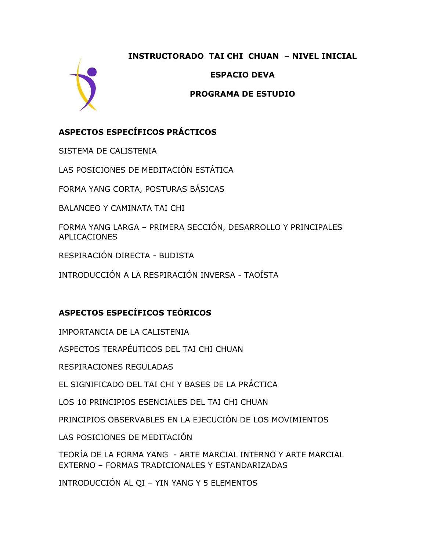#### **INSTRUCTORADO TAI CHI CHUAN – NIVEL INICIAL**



**ESPACIO DEVA** 

#### **PROGRAMA DE ESTUDIO**

## **ASPECTOS ESPECÍFICOS PRÁCTICOS**

SISTEMA DE CALISTENIA

LAS POSICIONES DE MEDITACIÓN ESTÁTICA

FORMA YANG CORTA, POSTURAS BÁSICAS

BALANCEO Y CAMINATA TAI CHI

FORMA YANG LARGA – PRIMERA SECCIÓN, DESARROLLO Y PRINCIPALES APLICACIONES

RESPIRACIÓN DIRECTA - BUDISTA

INTRODUCCIÓN A LA RESPIRACIÓN INVERSA - TAOÍSTA

# **ASPECTOS ESPECÍFICOS TEÓRICOS**

IMPORTANCIA DE LA CALISTENIA

ASPECTOS TERAPÉUTICOS DEL TAI CHI CHUAN

RESPIRACIONES REGULADAS

EL SIGNIFICADO DEL TAI CHI Y BASES DE LA PRÁCTICA

LOS 10 PRINCIPIOS ESENCIALES DEL TAI CHI CHUAN

PRINCIPIOS OBSERVABLES EN LA EJECUCIÓN DE LOS MOVIMIENTOS

LAS POSICIONES DE MEDITACIÓN

TEORÍA DE LA FORMA YANG - ARTE MARCIAL INTERNO Y ARTE MARCIAL EXTERNO – FORMAS TRADICIONALES Y ESTANDARIZADAS

INTRODUCCIÓN AL QI – YIN YANG Y 5 ELEMENTOS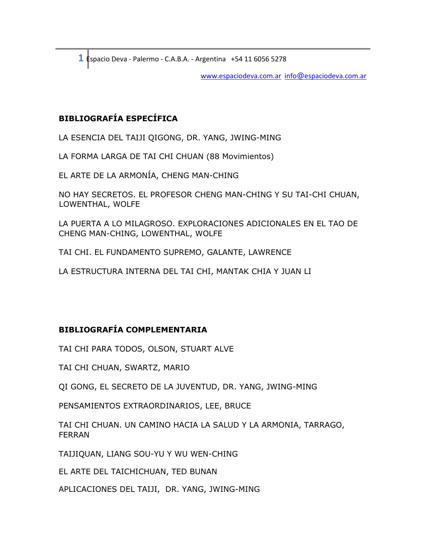**1** Espacio Deva - Palermo - C.A.B.A. - Argentina +54 11 6056 5278

[www.espaciodeva.com.ar](http://www.espaciodeva.com.ar/) info@espaciodeva.com.ar

### **BIBLIOGRAFÍA ESPECÍFICA**

LA ESENCIA DEL TAIJI QIGONG, DR. YANG, JWING-MING

LA FORMA LARGA DE TAI CHI CHUAN (88 Movimientos)

EL ARTE DE LA ARMONÍA, CHENG MAN-CHING

NO HAY SECRETOS. EL PROFESOR CHENG MAN-CHING Y SU TAI-CHI CHUAN, LOWENTHAL, WOLFE

LA PUERTA A LO MILAGROSO. EXPLORACIONES ADICIONALES EN EL TAO DE CHENG MAN-CHING, LOWENTHAL, WOLFE

TAI CHI. EL FUNDAMENTO SUPREMO, GALANTE, LAWRENCE

LA ESTRUCTURA INTERNA DEL TAI CHI, MANTAK CHIA Y JUAN LI

## **BIBLIOGRAFÍA COMPLEMENTARIA**

TAI CHI PARA TODOS, OLSON, STUART ALVE

TAI CHI CHUAN, SWARTZ, MARIO

QI GONG, EL SECRETO DE LA JUVENTUD, DR. YANG, JWING-MING

PENSAMIENTOS EXTRAORDINARIOS, LEE, BRUCE

TAI CHI CHUAN. UN CAMINO HACIA LA SALUD Y LA ARMONIA, TARRAGO, FERRAN

TAIJIQUAN, LIANG SOU-YU Y WU WEN-CHING

EL ARTE DEL TAICHICHUAN, TED BUNAN

APLICACIONES DEL TAIJI, DR. YANG, JWING-MING